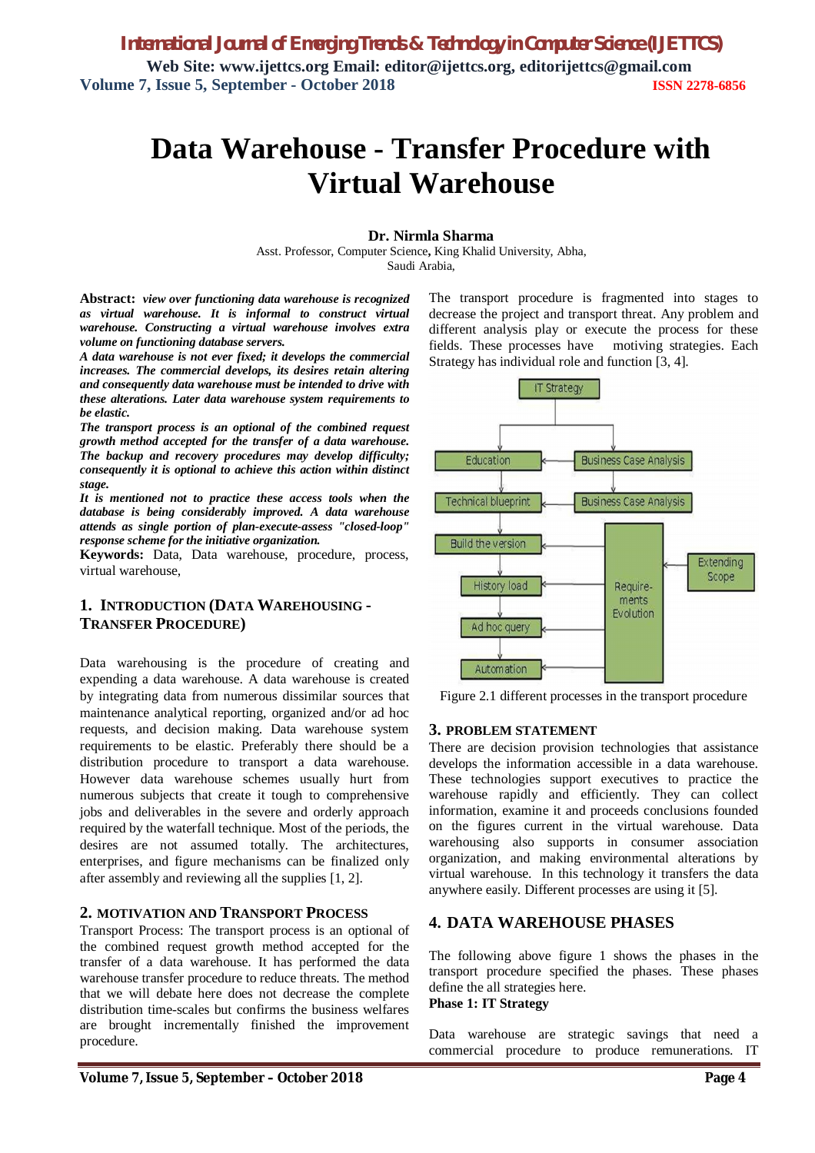# **Data Warehouse - Transfer Procedure with Virtual Warehouse**

### **Dr. Nirmla Sharma**

Asst. Professor, Computer Science**,** King Khalid University, Abha, Saudi Arabia,

**Abstract:** *view over functioning data warehouse is recognized as virtual warehouse. It is informal to construct virtual warehouse. Constructing a virtual warehouse involves extra volume on functioning database servers.*

*A data warehouse is not ever fixed; it develops the commercial increases. The commercial develops, its desires retain altering and consequently data warehouse must be intended to drive with these alterations. Later data warehouse system requirements to be elastic.*

*The transport process is an optional of the combined request growth method accepted for the transfer of a data warehouse. The backup and recovery procedures may develop difficulty; consequently it is optional to achieve this action within distinct stage.*

*It is mentioned not to practice these access tools when the database is being considerably improved. A data warehouse attends as single portion of plan-execute-assess "closed-loop" response scheme for the initiative organization.*

**Keywords:** Data, Data warehouse, procedure, process, virtual warehouse,

#### **1. INTRODUCTION (DATA WAREHOUSING - TRANSFER PROCEDURE)**

Data warehousing is the procedure of creating and expending a data warehouse. A data warehouse is created by integrating data from numerous dissimilar sources that maintenance analytical reporting, organized and/or ad hoc requests, and decision making. Data warehouse system requirements to be elastic. Preferably there should be a distribution procedure to transport a data warehouse. However data warehouse schemes usually hurt from numerous subjects that create it tough to comprehensive jobs and deliverables in the severe and orderly approach required by the waterfall technique. Most of the periods, the desires are not assumed totally. The architectures, enterprises, and figure mechanisms can be finalized only after assembly and reviewing all the supplies [1, 2].

#### **2. MOTIVATION AND TRANSPORT PROCESS**

Transport Process: The transport process is an optional of the combined request growth method accepted for the transfer of a data warehouse. It has performed the data warehouse transfer procedure to reduce threats. The method that we will debate here does not decrease the complete distribution time-scales but confirms the business welfares are brought incrementally finished the improvement procedure.

The transport procedure is fragmented into stages to decrease the project and transport threat. Any problem and different analysis play or execute the process for these fields. These processes have motiving strategies. Each Strategy has individual role and function [3, 4].



Figure 2.1 different processes in the transport procedure

#### **3. PROBLEM STATEMENT**

There are decision provision technologies that assistance develops the information accessible in a data warehouse. These technologies support executives to practice the warehouse rapidly and efficiently. They can collect information, examine it and proceeds conclusions founded on the figures current in the virtual warehouse. Data warehousing also supports in consumer association organization, and making environmental alterations by virtual warehouse. In this technology it transfers the data anywhere easily. Different processes are using it [5].

#### **4. DATA WAREHOUSE PHASES**

The following above figure 1 shows the phases in the transport procedure specified the phases. These phases define the all strategies here. **Phase 1: IT Strategy**

Data warehouse are strategic savings that need a commercial procedure to produce remunerations. IT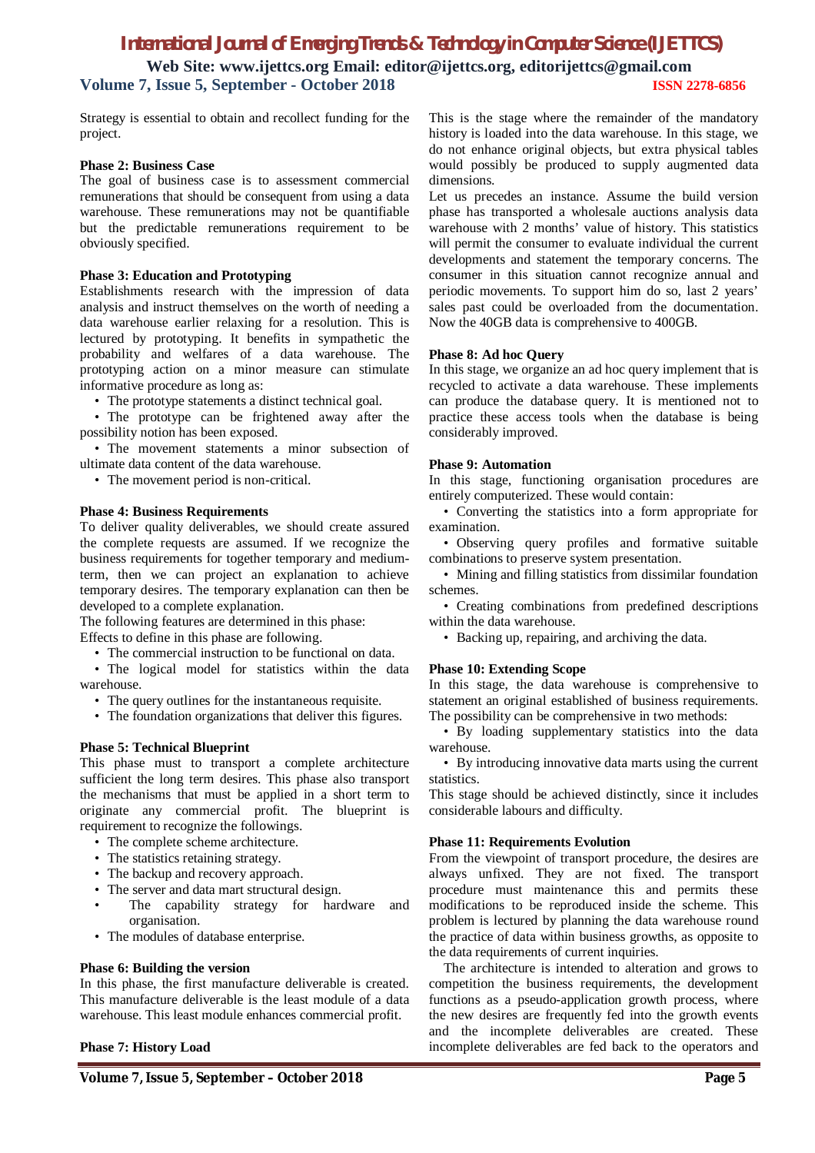### *International Journal of Emerging Trends & Technology in Computer Science (IJETTCS)*

**Web Site: www.ijettcs.org Email: editor@ijettcs.org, editorijettcs@gmail.com Volume 7, Issue 5, September - October 2018 ISSN 2278-6856**

Strategy is essential to obtain and recollect funding for the project.

#### **Phase 2: Business Case**

The goal of business case is to assessment commercial remunerations that should be consequent from using a data warehouse. These remunerations may not be quantifiable but the predictable remunerations requirement to be obviously specified.

#### **Phase 3: Education and Prototyping**

Establishments research with the impression of data analysis and instruct themselves on the worth of needing a data warehouse earlier relaxing for a resolution. This is lectured by prototyping. It benefits in sympathetic the probability and welfares of a data warehouse. The prototyping action on a minor measure can stimulate informative procedure as long as:

• The prototype statements a distinct technical goal.

• The prototype can be frightened away after the possibility notion has been exposed.

• The movement statements a minor subsection of ultimate data content of the data warehouse.

• The movement period is non-critical.

#### **Phase 4: Business Requirements**

To deliver quality deliverables, we should create assured the complete requests are assumed. If we recognize the business requirements for together temporary and mediumterm, then we can project an explanation to achieve temporary desires. The temporary explanation can then be developed to a complete explanation.

The following features are determined in this phase:

Effects to define in this phase are following.

• The commercial instruction to be functional on data.

• The logical model for statistics within the data warehouse.

- The query outlines for the instantaneous requisite.
- The foundation organizations that deliver this figures.

#### **Phase 5: Technical Blueprint**

This phase must to transport a complete architecture sufficient the long term desires. This phase also transport the mechanisms that must be applied in a short term to originate any commercial profit. The blueprint is requirement to recognize the followings.

- The complete scheme architecture.
- The statistics retaining strategy.
- The backup and recovery approach.
- The server and data mart structural design.
- The capability strategy for hardware and organisation.
- The modules of database enterprise.

#### **Phase 6: Building the version**

In this phase, the first manufacture deliverable is created. This manufacture deliverable is the least module of a data warehouse. This least module enhances commercial profit.

#### **Phase 7: History Load**

This is the stage where the remainder of the mandatory history is loaded into the data warehouse. In this stage, we do not enhance original objects, but extra physical tables would possibly be produced to supply augmented data dimensions.

Let us precedes an instance. Assume the build version phase has transported a wholesale auctions analysis data warehouse with 2 months' value of history. This statistics will permit the consumer to evaluate individual the current developments and statement the temporary concerns. The consumer in this situation cannot recognize annual and periodic movements. To support him do so, last 2 years' sales past could be overloaded from the documentation. Now the 40GB data is comprehensive to 400GB.

#### **Phase 8: Ad hoc Query**

In this stage, we organize an ad hoc query implement that is recycled to activate a data warehouse. These implements can produce the database query. It is mentioned not to practice these access tools when the database is being considerably improved.

#### **Phase 9: Automation**

In this stage, functioning organisation procedures are entirely computerized. These would contain:

• Converting the statistics into a form appropriate for examination.

• Observing query profiles and formative suitable combinations to preserve system presentation.

• Mining and filling statistics from dissimilar foundation schemes.

• Creating combinations from predefined descriptions within the data warehouse.

• Backing up, repairing, and archiving the data.

#### **Phase 10: Extending Scope**

In this stage, the data warehouse is comprehensive to statement an original established of business requirements. The possibility can be comprehensive in two methods:

• By loading supplementary statistics into the data warehouse.

• By introducing innovative data marts using the current statistics.

This stage should be achieved distinctly, since it includes considerable labours and difficulty.

#### **Phase 11: Requirements Evolution**

From the viewpoint of transport procedure, the desires are always unfixed. They are not fixed. The transport procedure must maintenance this and permits these modifications to be reproduced inside the scheme. This problem is lectured by planning the data warehouse round the practice of data within business growths, as opposite to the data requirements of current inquiries.

The architecture is intended to alteration and grows to competition the business requirements, the development functions as a pseudo-application growth process, where the new desires are frequently fed into the growth events and the incomplete deliverables are created. These incomplete deliverables are fed back to the operators and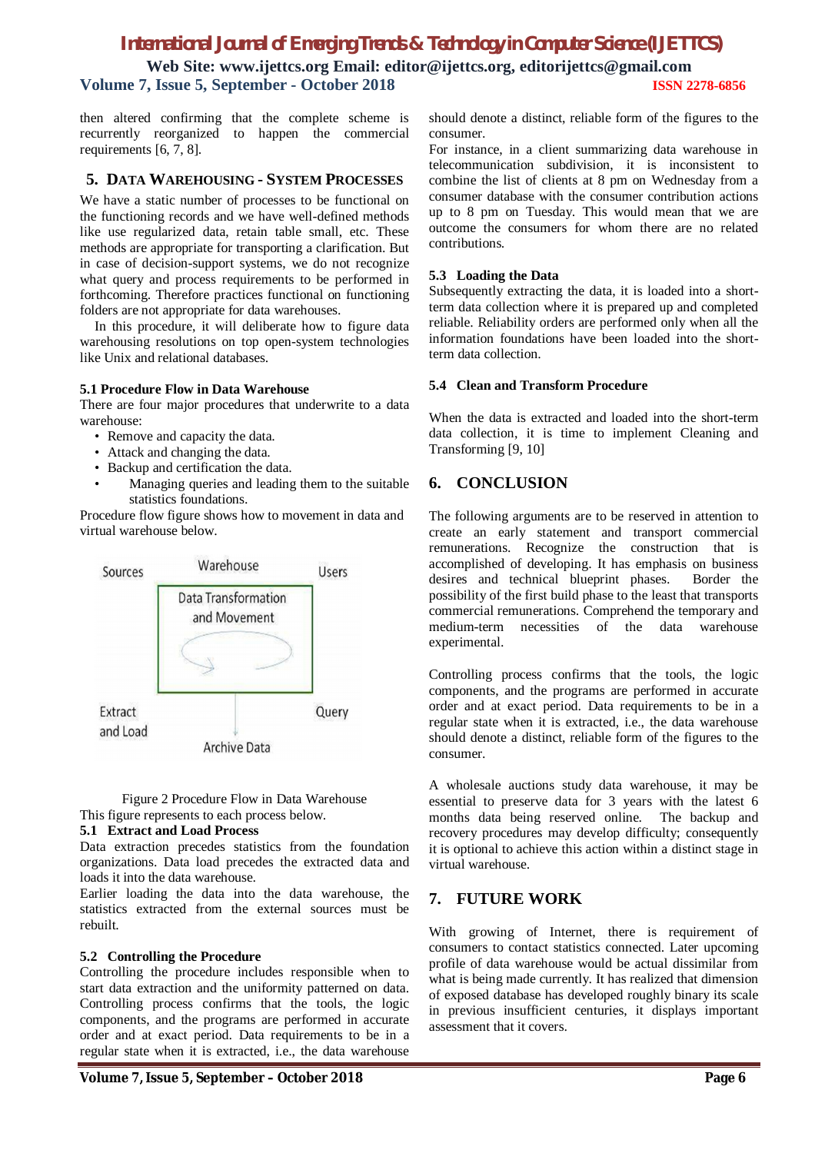## *International Journal of Emerging Trends & Technology in Computer Science (IJETTCS)*

**Web Site: www.ijettcs.org Email: editor@ijettcs.org, editorijettcs@gmail.com Volume 7, Issue 5, September - October 2018 ISSN 2278-6856**

then altered confirming that the complete scheme is recurrently reorganized to happen the commercial requirements [6, 7, 8].

#### **5. DATA WAREHOUSING - SYSTEM PROCESSES**

We have a static number of processes to be functional on the functioning records and we have well-defined methods like use regularized data, retain table small, etc. These methods are appropriate for transporting a clarification. But in case of decision-support systems, we do not recognize what query and process requirements to be performed in forthcoming. Therefore practices functional on functioning folders are not appropriate for data warehouses.

In this procedure, it will deliberate how to figure data warehousing resolutions on top open-system technologies like Unix and relational databases.

#### **5.1 Procedure Flow in Data Warehouse**

There are four major procedures that underwrite to a data warehouse:

- Remove and capacity the data.
- Attack and changing the data.
- Backup and certification the data.
- Managing queries and leading them to the suitable statistics foundations.

Procedure flow figure shows how to movement in data and virtual warehouse below.



Figure 2 Procedure Flow in Data Warehouse This figure represents to each process below.

#### **5.1 Extract and Load Process**

Data extraction precedes statistics from the foundation organizations. Data load precedes the extracted data and loads it into the data warehouse.

Earlier loading the data into the data warehouse, the statistics extracted from the external sources must be rebuilt.

#### **5.2 Controlling the Procedure**

Controlling the procedure includes responsible when to start data extraction and the uniformity patterned on data. Controlling process confirms that the tools, the logic components, and the programs are performed in accurate order and at exact period. Data requirements to be in a regular state when it is extracted, i.e., the data warehouse

should denote a distinct, reliable form of the figures to the consumer.

For instance, in a client summarizing data warehouse in telecommunication subdivision, it is inconsistent to combine the list of clients at 8 pm on Wednesday from a consumer database with the consumer contribution actions up to 8 pm on Tuesday. This would mean that we are outcome the consumers for whom there are no related contributions.

#### **5.3 Loading the Data**

Subsequently extracting the data, it is loaded into a shortterm data collection where it is prepared up and completed reliable. Reliability orders are performed only when all the information foundations have been loaded into the shortterm data collection.

#### **5.4 Clean and Transform Procedure**

When the data is extracted and loaded into the short-term data collection, it is time to implement Cleaning and Transforming [9, 10]

### **6. CONCLUSION**

The following arguments are to be reserved in attention to create an early statement and transport commercial remunerations. Recognize the construction that is accomplished of developing. It has emphasis on business desires and technical blueprint phases. Border the possibility of the first build phase to the least that transports commercial remunerations. Comprehend the temporary and medium-term necessities of the data warehouse experimental.

Controlling process confirms that the tools, the logic components, and the programs are performed in accurate order and at exact period. Data requirements to be in a regular state when it is extracted, i.e., the data warehouse should denote a distinct, reliable form of the figures to the consumer.

A wholesale auctions study data warehouse, it may be essential to preserve data for 3 years with the latest 6 months data being reserved online. The backup and recovery procedures may develop difficulty; consequently it is optional to achieve this action within a distinct stage in virtual warehouse.

#### **7. FUTURE WORK**

With growing of Internet, there is requirement of consumers to contact statistics connected. Later upcoming profile of data warehouse would be actual dissimilar from what is being made currently. It has realized that dimension of exposed database has developed roughly binary its scale in previous insufficient centuries, it displays important assessment that it covers.